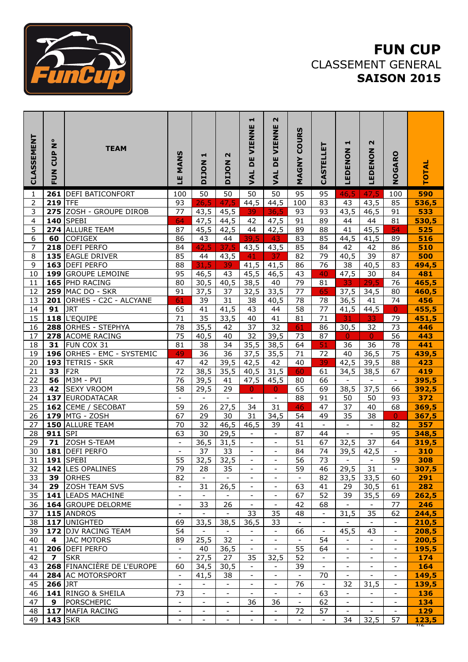

## **FUN CUP** CLASSEMENT GENERAL **SAISON 2015**

| <b>CLASSEMENT</b>       | ۰<br>$\mathbf{z}$<br><b>CUP</b><br><b>NUN</b> | <b>TEAM</b>                             | <b>MANS</b><br>Ľ               | ᆏ<br>NOLIO                    | N<br>NOLIO                                           | ᆏ<br><b>DE VIENNE</b><br><b>VAL</b>                  | $\mathbf{\Omega}$<br>VIENNE<br>ш<br>$\mathbf{D}$<br>JAL | <b>COURS</b><br>MAGNY          | CASTELLET                      | ᆏ<br>LEDENON                   | $\mathbf{\Omega}$<br>LEDENON | NOGARO                                               | <b>TOTAL</b>        |
|-------------------------|-----------------------------------------------|-----------------------------------------|--------------------------------|-------------------------------|------------------------------------------------------|------------------------------------------------------|---------------------------------------------------------|--------------------------------|--------------------------------|--------------------------------|------------------------------|------------------------------------------------------|---------------------|
| 1                       | 261                                           | <b>DEFI BATICONFORT</b>                 | 100                            | 50                            | 50                                                   | 50                                                   | 50                                                      | 95                             | 95                             | 46,5                           | 47,5                         | 100                                                  | 590                 |
| $\overline{\mathbf{c}}$ | 219                                           | <b>TFE</b>                              | 93                             | 26,5                          | 47,5                                                 | 44,5                                                 | 44,5                                                    | 100                            | 83                             | 43                             | 43,5                         | 85                                                   | 536,5               |
| 3                       |                                               | 275 ZOSH - GROUPE DIROB                 | 77                             | 43,5                          | 45,5                                                 | 39                                                   | 36,5                                                    | 93                             | 93                             | 43,5                           | 46,5                         | 91                                                   | 533                 |
| 4                       |                                               | <b>140 SPEBI</b>                        | 64                             | 47,5                          | 44,5                                                 | 42                                                   | 47,5                                                    | 91                             | 89                             | 44                             | 44                           | 81                                                   | 530,5               |
| 5                       |                                               | 274 ALLURE TEAM                         | 87                             | 45,5                          | 42,5                                                 | 44                                                   | 42,5                                                    | 89                             | 88                             | 41                             | 45,5                         | 54                                                   | 525                 |
| 6                       | 60                                            | <b>COFIGEX</b>                          | 86                             | 43                            | 44                                                   | 39,5                                                 | 43                                                      | 83                             | 85                             | 44,5                           | 41,5                         | 89                                                   | 516                 |
| $\overline{7}$          |                                               | 218 DEFI PERFO                          | 84                             | 42,5                          | 37,5                                                 | 43,5                                                 | 43,5                                                    | 85                             | 84                             | 42                             | 42                           | 86                                                   | 510                 |
| 8                       |                                               | 135 EAGLE DRIVER                        | 85                             | 44                            | 43,5                                                 | 41                                                   | 37                                                      | $\overline{82}$                | 79                             | 40,5                           | 39                           | $\overline{87}$                                      | 500                 |
| $\overline{9}$          |                                               | 163 DEFI PERFO                          | 88                             | 31,5                          | 39                                                   | $\overline{41,5}$                                    | 41,5                                                    | 86                             | 76                             | $\overline{38}$                | 40,5                         | 83                                                   | 494,5               |
| $\overline{10}$         |                                               | 199 GROUPE LEMOINE                      | 95                             | 46,5                          | 43                                                   | 45,5                                                 | 46,5                                                    | 43                             | 40                             | $\overline{47,5}$              | 30                           | 84                                                   | 481                 |
| 11                      |                                               | 165 PHD RACING                          | 80                             | 30,5                          | 40,5                                                 | 38,5                                                 | 40                                                      | 79                             | 81                             | 33                             | 29,5                         | 76                                                   | 465,5               |
| 12                      |                                               | <b>259 MAC DO - SKR</b>                 | 91                             | 37,5                          | 37                                                   | 32,5                                                 | 33,5                                                    | 77                             | 65                             | 37,5                           | 34,5                         | 80                                                   | 460,5               |
| 13                      |                                               | 201 ORHES - C2C - ALCYANE               | 61                             | 39                            | 31                                                   | 38                                                   | 40,5                                                    | 78                             | 78                             | 36,5                           | 41                           | 74                                                   | 456                 |
| 14                      | 91                                            | <b>JRT</b>                              | 65                             | 41                            | 41,5                                                 | 43                                                   | 44                                                      | 58                             | 77                             | 41,5                           | 44,5                         | $\overline{0}$                                       | 455,5               |
| $\overline{15}$         |                                               | 118 L'EQUIPE                            | $\overline{71}$                | $\overline{35}$<br>35,5       | 33,5                                                 | 40<br>37                                             | 41<br>32                                                | 81                             | $\overline{71}$                | 31                             | 33                           | 79<br>73                                             | 451,5               |
| 16<br>$\overline{17}$   |                                               | 288 ORHES - STEPHYA<br>278 ACOME RACING | 78<br>$\overline{75}$          | 40,5                          | 42<br>40                                             | $\overline{32}$                                      | 39,5                                                    | 61<br>73                       | 86<br>87                       | 30,5<br>$\overline{0}$         | 32<br>$\pmb{0}$              | 56                                                   | 446<br>443          |
| $\overline{18}$         | 31                                            | FUN COX 31                              | 81                             | 38                            | 34                                                   | 35,5                                                 | 38,5                                                    | 64                             | 51                             | 36                             | 36                           | 78                                                   | 441                 |
| 19                      |                                               | 196 ORHES - EMC - SYSTEMIC              | 49                             | $\overline{36}$               | $\overline{36}$                                      | 37,5                                                 | 35,5                                                    | 71                             | 72                             | 40                             | 36,5                         | 75                                                   | 439,5               |
| 20                      | 193                                           | <b>TETRIS - SKR</b>                     | 47                             | 42                            | 39,5                                                 | 42,5                                                 | 42                                                      | 40                             | 39                             | 42,5                           | 39,5                         | 88                                                   | 423                 |
| 21                      | 33                                            | F <sub>2R</sub>                         | $\overline{72}$                | 38,5                          | 35,5                                                 | 40,5                                                 | 31,5                                                    | 60                             | 61                             | 34,5                           | 38,5                         | 67                                                   | 419                 |
| 22                      | 56                                            | M3M - PVI                               | 76                             | 39,5                          | 41                                                   | 47,5                                                 | 45,5                                                    | 80                             | 66                             | $\overline{\phantom{a}}$       | $\overline{\phantom{a}}$     | $\overline{\phantom{a}}$                             | 395,5               |
| $\overline{23}$         | 42                                            | <b>SEXY VROOM</b>                       | 58                             | 29,5                          | 29                                                   | $\mathbf{0}$                                         | $\overline{0}$                                          | 65                             | 69                             | 38,5                           | 37,5                         | 66                                                   | 392,5               |
| 24                      |                                               | 137 EURODATACAR                         | $\overline{\phantom{a}}$       | $\overline{\phantom{a}}$      |                                                      | $\blacksquare$                                       | $\overline{\phantom{a}}$                                | 88                             | 91                             | 50                             | 50                           | 93                                                   | 372                 |
| $\overline{25}$         |                                               | 162 CEME / SECOBAT                      | 59                             | 26                            | 27,5                                                 | 34                                                   | 31                                                      | 46                             | 47                             | 37                             | 40                           | 68                                                   | 369,5               |
| 26                      |                                               | 179 MTG - ZOSH                          | 67                             | 29                            | 30                                                   | 31                                                   | 34,5                                                    | 54                             | 49                             | 35                             | 38                           | $\mathbf 0$                                          | 367,5               |
| 27                      |                                               | 150 ALLURE TEAM                         | 70                             | 32                            | $\overline{46,5}$                                    | 46,5                                                 | 39                                                      | 41                             | $\overline{\phantom{a}}$       | $\overline{\phantom{a}}$       | $\overline{\phantom{a}}$     | 82                                                   | 357                 |
| 28                      | 911 $ SPI $                                   |                                         | 63                             | 30                            | 29,5                                                 | $\overline{\phantom{a}}$                             | $\overline{\phantom{a}}$                                | 87                             | 44                             | $\overline{\phantom{a}}$       | $\overline{\phantom{a}}$     | 95                                                   | 348,5               |
| 29                      | 71                                            | <b>ZOSH S-TEAM</b>                      | $\qquad \qquad -$              | 36,5                          | 31,5                                                 | $\overline{\phantom{a}}$                             | $\overline{\phantom{a}}$                                | 51                             | 67                             | 32,5                           | 37                           | 64                                                   | 319,5               |
| 30                      |                                               | 181 DEFI PERFO                          | $\overline{\phantom{a}}$       | 37                            | 33                                                   | $\qquad \qquad -$                                    | $\overline{\phantom{a}}$                                | 84                             | 74                             | 39,5                           | 42,5                         | $\overline{\phantom{a}}$                             | 310                 |
| $\overline{31}$         |                                               | 191 SPEBI                               | 55                             | 32,5                          | 32,5                                                 | $\blacksquare$                                       | $\overline{\phantom{a}}$                                | $\overline{56}$                | 73                             | $\overline{\phantom{a}}$       | $\overline{\phantom{a}}$     | 59                                                   | 308                 |
| 32                      |                                               | 142 LES OPALINES                        | 79                             | 28                            | 35                                                   | $\overline{\phantom{a}}$                             | $\overline{\phantom{a}}$                                | 59                             | 46                             | 29,5                           | 31                           | $\overline{\phantom{a}}$                             | 307,5               |
| 33                      | 39                                            | <b>ORHES</b>                            | 82                             |                               |                                                      |                                                      | $\overline{\phantom{a}}$                                | $\overline{\phantom{a}}$       | 82                             | 33,5                           | 33,5                         | 60                                                   | 291                 |
| 34                      | 29                                            | <b>ZOSH TEAM SVS</b>                    | $\overline{\phantom{a}}$       | 31                            | 26,5                                                 | $\overline{\phantom{a}}$                             | $\overline{\phantom{a}}$                                | 63                             | 41                             | 29                             | 30,5                         | 61                                                   | 282                 |
| 35                      |                                               | 141 LEADS MACHINE                       | $\overline{\phantom{a}}$       | $\overline{\phantom{a}}$      | $\overline{\phantom{a}}$                             | $\overline{\phantom{a}}$                             | $\overline{\phantom{a}}$                                | 67                             | 52                             | 39                             | 35,5                         | 69                                                   | 262,5               |
| 36                      |                                               | 164 GROUPE DELORME                      | $\overline{\phantom{a}}$       | 33                            | 26                                                   | $\overline{\phantom{a}}$                             | $\overline{\phantom{a}}$                                | 42                             | 68                             | $\overline{\phantom{a}}$       | $\overline{\phantom{a}}$     | 77                                                   | 246                 |
| 37                      |                                               | 115 ANDROS                              | $\overline{\phantom{a}}$       | $\overline{\phantom{a}}$      | $\overline{\phantom{a}}$                             | 33                                                   | 35                                                      | 48                             | $\overline{\phantom{a}}$       | 31,5                           | 35                           | 62                                                   | 244,5               |
| 38                      |                                               | 117 UNIGHTED                            | 69                             | 33,5                          | 38,5                                                 | 36,5                                                 | 33                                                      | $\overline{\phantom{a}}$       | $\overline{\phantom{a}}$       |                                | $\overline{\phantom{a}}$     | $\overline{\phantom{a}}$                             | 210,5               |
| 39                      |                                               | 172 DJV RACING TEAM                     | 54                             | $\overline{\phantom{a}}$      | $\overline{\phantom{a}}$                             | $\overline{\phantom{a}}$                             | $\overline{\phantom{a}}$                                | 66                             | $\overline{\phantom{a}}$       | 45,5                           | 43                           | $\overline{\phantom{a}}$                             | 208,5               |
| 40                      | 4                                             | <b>JAC MOTORS</b>                       | 89                             | 25,5                          | 32                                                   | $\overline{\phantom{a}}$                             | $\overline{\phantom{a}}$                                | $\overline{\phantom{a}}$       | 54                             |                                | $\overline{\phantom{a}}$     | $\overline{\phantom{a}}$                             | 200,5               |
| 41                      |                                               | 206 DEFI PERFO                          | $\overline{\phantom{a}}$       | 40                            | 36,5                                                 | $\overline{\phantom{a}}$                             | $\overline{\phantom{0}}$                                | 55                             | 64                             |                                |                              | $\overline{\phantom{a}}$                             | 195,5               |
| 42                      | $\overline{ }$                                | <b>SKR</b>                              | $\overline{\phantom{a}}$       | 27,5                          | 27                                                   | 35                                                   | 32,5                                                    | 52                             | $\blacksquare$                 | $\overline{\phantom{a}}$       | $\overline{\phantom{a}}$     | $\overline{\phantom{a}}$                             | 174                 |
| 43                      |                                               | 268 FINANCIÈRE DE L'EUROPE              | 60                             | 34,5                          | 30,5                                                 | $\overline{\phantom{a}}$                             | $\overline{\phantom{a}}$                                | 39                             | $\overline{\phantom{a}}$       | $\overline{\phantom{a}}$       | $\overline{\phantom{a}}$     | $\overline{\phantom{a}}$                             | 164                 |
| 44<br>45                |                                               | 284 AC MOTORSPORT                       | $\overline{\phantom{a}}$       | 41,5                          | 38                                                   | $\overline{\phantom{a}}$                             | $\overline{\phantom{a}}$                                | $\overline{\phantom{a}}$       | 70                             | $\overline{\phantom{a}}$       | $\overline{\phantom{a}}$     | $\overline{\phantom{a}}$                             | 149,5               |
| 46                      | <b>266 JRT</b>                                | 141 RINGO & SHEILA                      | $\overline{\phantom{a}}$<br>73 | -<br>$\overline{\phantom{a}}$ | $\overline{\phantom{a}}$<br>$\overline{\phantom{a}}$ | $\overline{\phantom{a}}$<br>$\overline{\phantom{a}}$ | $\overline{\phantom{a}}$<br>$\overline{\phantom{a}}$    | 76<br>$\overline{\phantom{a}}$ | $\overline{\phantom{a}}$<br>63 | 32<br>$\overline{\phantom{a}}$ | 31,5                         | $\overline{\phantom{a}}$<br>$\overline{\phantom{a}}$ | 139,5<br>136        |
| 47                      | $\mathbf{9}$                                  | PORSCHEPIC                              | $\overline{\phantom{a}}$       | $\overline{\phantom{a}}$      | $\overline{\phantom{a}}$                             | 36                                                   | 36                                                      | $\overline{\phantom{a}}$       | 62                             | $\overline{\phantom{a}}$       |                              | $\overline{\phantom{a}}$                             | 134                 |
| 48                      |                                               | 117 MAFIA RACING                        | $\overline{\phantom{a}}$       | $\overline{\phantom{a}}$      | $\overline{\phantom{a}}$                             | $\overline{\phantom{a}}$                             | $\overline{\phantom{a}}$                                | 72                             | 57                             | $\overline{\phantom{a}}$       | $\overline{\phantom{a}}$     | $\overline{\phantom{a}}$                             | 129                 |
| 49                      | <b>143 SKR</b>                                |                                         | $\overline{\phantom{a}}$       | $\overline{\phantom{a}}$      | $\overline{\phantom{a}}$                             | $\overline{\phantom{a}}$                             | $\overline{\phantom{a}}$                                |                                |                                | 34                             | 32,5                         | 57                                                   |                     |
|                         |                                               |                                         |                                |                               |                                                      |                                                      |                                                         |                                |                                |                                |                              |                                                      | $\frac{123,5}{172}$ |